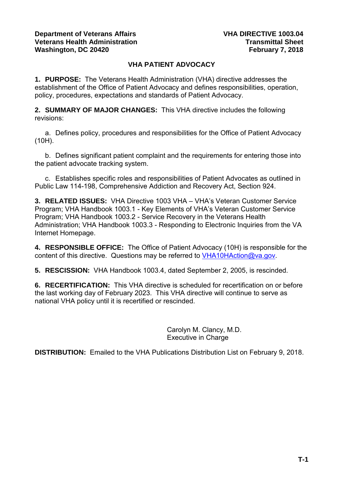### **Department of Veterans Affairs Veterans Health Administration Washington, DC 20420**

# **VHA PATIENT ADVOCACY**

**1. PURPOSE:** The Veterans Health Administration (VHA) directive addresses the establishment of the Office of Patient Advocacy and defines responsibilities, operation, policy, procedures, expectations and standards of Patient Advocacy.

**2. SUMMARY OF MAJOR CHANGES:** This VHA directive includes the following revisions:

a. Defines policy, procedures and responsibilities for the Office of Patient Advocacy (10H).

b. Defines significant patient complaint and the requirements for entering those into the patient advocate tracking system.

c. Establishes specific roles and responsibilities of Patient Advocates as outlined in Public Law 114-198, Comprehensive Addiction and Recovery Act, Section 924.

**3. RELATED ISSUES:** VHA Directive 1003 VHA – VHA's Veteran Customer Service Program; VHA Handbook 1003.1 - Key Elements of VHA's Veteran Customer Service Program; VHA Handbook 1003.2 - Service Recovery in the Veterans Health Administration; VHA Handbook 1003.3 - Responding to Electronic Inquiries from the VA Internet Homepage.

**4. RESPONSIBLE OFFICE:** The Office of Patient Advocacy (10H) is responsible for the content of this directive. Questions may be referred to [VHA10HAction@va.gov.](mailto:VHA10HAction@va.gov)

**5. RESCISSION:** VHA Handbook 1003.4, dated September 2, 2005, is rescinded.

**6. RECERTIFICATION:** This VHA directive is scheduled for recertification on or before the last working day of February 2023. This VHA directive will continue to serve as national VHA policy until it is recertified or rescinded.

> Carolyn M. Clancy, M.D. Executive in Charge

**DISTRIBUTION:** Emailed to the VHA Publications Distribution List on February 9, 2018.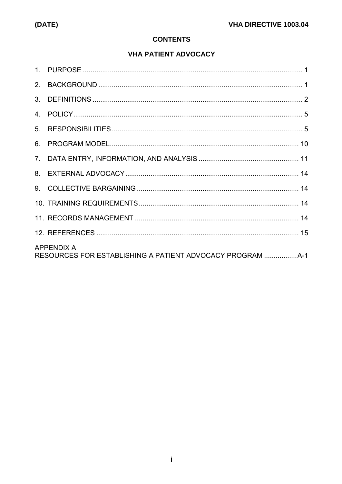# **CONTENTS**

# **VHA PATIENT ADVOCACY**

| 5. |                   |  |
|----|-------------------|--|
| 6. |                   |  |
|    |                   |  |
|    |                   |  |
|    |                   |  |
|    |                   |  |
|    |                   |  |
|    |                   |  |
|    | <b>APPENDIX A</b> |  |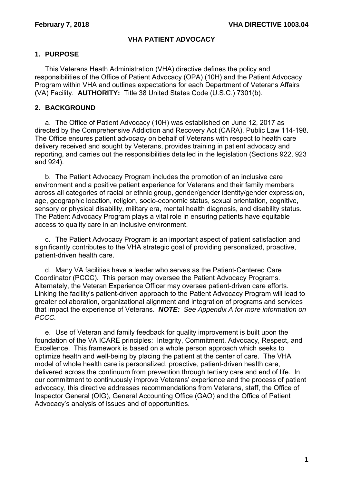# **VHA PATIENT ADVOCACY**

## <span id="page-2-0"></span>**1. PURPOSE**

This Veterans Heath Administration (VHA) directive defines the policy and responsibilities of the Office of Patient Advocacy (OPA) (10H) and the Patient Advocacy Program within VHA and outlines expectations for each Department of Veterans Affairs (VA) Facility. **AUTHORITY:** Title 38 United States Code (U.S.C.) 7301(b).

## <span id="page-2-1"></span>**2. BACKGROUND**

a. The Office of Patient Advocacy (10H) was established on June 12, 2017 as directed by the Comprehensive Addiction and Recovery Act (CARA), Public Law 114-198. The Office ensures patient advocacy on behalf of Veterans with respect to health care delivery received and sought by Veterans, provides training in patient advocacy and reporting, and carries out the responsibilities detailed in the legislation (Sections 922, 923 and 924).

b. The Patient Advocacy Program includes the promotion of an inclusive care environment and a positive patient experience for Veterans and their family members across all categories of racial or ethnic group, gender/gender identity/gender expression, age, geographic location, religion, socio-economic status, sexual orientation, cognitive, sensory or physical disability, military era, mental health diagnosis, and disability status. The Patient Advocacy Program plays a vital role in ensuring patients have equitable access to quality care in an inclusive environment.

c. The Patient Advocacy Program is an important aspect of patient satisfaction and significantly contributes to the VHA strategic goal of providing personalized, proactive, patient-driven health care.

d. Many VA facilities have a leader who serves as the Patient-Centered Care Coordinator (PCCC). This person may oversee the Patient Advocacy Programs. Alternately, the Veteran Experience Officer may oversee patient-driven care efforts. Linking the facility's patient-driven approach to the Patient Advocacy Program will lead to greater collaboration, organizational alignment and integration of programs and services that impact the experience of Veterans. *NOTE: See Appendix A for more information on PCCC.* 

e. Use of Veteran and family feedback for quality improvement is built upon the foundation of the VA ICARE principles: Integrity, Commitment, Advocacy, Respect, and Excellence. This framework is based on a whole person approach which seeks to optimize health and well-being by placing the patient at the center of care. The VHA model of whole health care is personalized, proactive, patient-driven health care, delivered across the continuum from prevention through tertiary care and end of life. In our commitment to continuously improve Veterans' experience and the process of patient advocacy, this directive addresses recommendations from Veterans, staff, the Office of Inspector General (OIG), General Accounting Office (GAO) and the Office of Patient Advocacy's analysis of issues and of opportunities.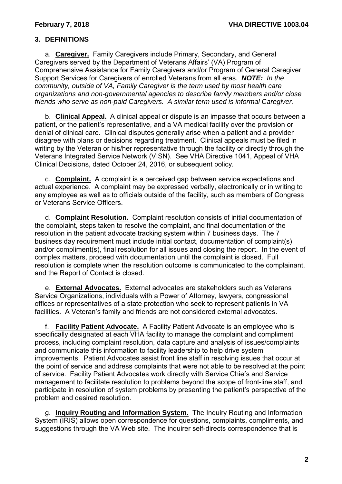# <span id="page-3-0"></span>**3. DEFINITIONS**

a. **Caregiver.** Family Caregivers include Primary, Secondary, and General Caregivers served by the Department of Veterans Affairs' (VA) Program of Comprehensive Assistance for Family Caregivers and/or Program of General Caregiver Support Services for Caregivers of enrolled Veterans from all eras. *NOTE: In the community, outside of VA, Family Caregiver is the term used by most health care organizations and non-governmental agencies to describe family members and/or close friends who serve as non-paid Caregivers. A similar term used is informal Caregiver.*

b. **Clinical Appeal.** A clinical appeal or dispute is an impasse that occurs between a patient, or the patient's representative, and a VA medical facility over the provision or denial of clinical care. Clinical disputes generally arise when a patient and a provider disagree with plans or decisions regarding treatment. Clinical appeals must be filed in writing by the Veteran or his/her representative through the facility or directly through the Veterans Integrated Service Network (VISN). See VHA Directive 1041, Appeal of VHA Clinical Decisions, dated October 24, 2016, or subsequent policy.

c. **Complaint.** A complaint is a perceived gap between service expectations and actual experience. A complaint may be expressed verbally, electronically or in writing to any employee as well as to officials outside of the facility, such as members of Congress or Veterans Service Officers.

d. **Complaint Resolution.** Complaint resolution consists of initial documentation of the complaint, steps taken to resolve the complaint, and final documentation of the resolution in the patient advocate tracking system within 7 business days. The 7 business day requirement must include initial contact, documentation of complaint(s) and/or compliment(s), final resolution for all issues and closing the report. In the event of complex matters, proceed with documentation until the complaint is closed. Full resolution is complete when the resolution outcome is communicated to the complainant, and the Report of Contact is closed.

e. **External Advocates.** External advocates are stakeholders such as Veterans Service Organizations, individuals with a Power of Attorney, lawyers, congressional offices or representatives of a state protection who seek to represent patients in VA facilities. A Veteran's family and friends are not considered external advocates.

f. **Facility Patient Advocate.** A Facility Patient Advocate is an employee who is specifically designated at each VHA facility to manage the complaint and compliment process, including complaint resolution, data capture and analysis of issues/complaints and communicate this information to facility leadership to help drive system improvements. Patient Advocates assist front line staff in resolving issues that occur at the point of service and address complaints that were not able to be resolved at the point of service. Facility Patient Advocates work directly with Service Chiefs and Service management to facilitate resolution to problems beyond the scope of front-line staff, and participate in resolution of system problems by presenting the patient's perspective of the problem and desired resolution.

g. **Inquiry Routing and Information System.** The Inquiry Routing and Information System (IRIS) allows open correspondence for questions, complaints, compliments, and suggestions through the VA Web site. The inquirer self-directs correspondence that is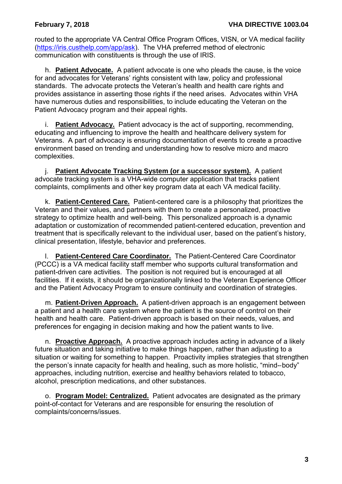routed to the appropriate VA Central Office Program Offices, VISN, or VA medical facility [\(https://iris.custhelp.com/app/ask\)](https://iris.custhelp.com/app/ask). The VHA preferred method of electronic communication with constituents is through the use of IRIS.

h. **Patient Advocate.** A patient advocate is one who pleads the cause, is the voice for and advocates for Veterans' rights consistent with law, policy and professional standards. The advocate protects the Veteran's health and health care rights and provides assistance in asserting those rights if the need arises. Advocates within VHA have numerous duties and responsibilities, to include educating the Veteran on the Patient Advocacy program and their appeal rights.

i. **Patient Advocacy.** Patient advocacy is the act of supporting, recommending, educating and influencing to improve the health and healthcare delivery system for Veterans. A part of advocacy is ensuring documentation of events to create a proactive environment based on trending and understanding how to resolve micro and macro complexities.

j. **Patient Advocate Tracking System (or a successor system).** A patient advocate tracking system is a VHA-wide computer application that tracks patient complaints, compliments and other key program data at each VA medical facility.

k. **Patient-Centered Care.** Patient-centered care is a philosophy that prioritizes the Veteran and their values, and partners with them to create a personalized, proactive strategy to optimize health and well-being. This personalized approach is a dynamic adaptation or customization of recommended patient-centered education, prevention and treatment that is specifically relevant to the individual user, based on the patient's history, clinical presentation, lifestyle, behavior and preferences.

l. **Patient-Centered Care Coordinator.** The Patient-Centered Care Coordinator (PCCC) is a VA medical facility staff member who supports cultural transformation and patient-driven care activities. The position is not required but is encouraged at all facilities. If it exists, it should be organizationally linked to the Veteran Experience Officer and the Patient Advocacy Program to ensure continuity and coordination of strategies.

m. **Patient-Driven Approach.** A patient-driven approach is an engagement between a patient and a health care system where the patient is the source of control on their health and health care. Patient-driven approach is based on their needs, values, and preferences for engaging in decision making and how the patient wants to live.

n. **Proactive Approach.** A proactive approach includes acting in advance of a likely future situation and taking initiative to make things happen, rather than adjusting to a situation or waiting for something to happen. Proactivity implies strategies that strengthen the person's innate capacity for health and healing, such as more holistic, "mind-‐body" approaches, including nutrition, exercise and healthy behaviors related to tobacco, alcohol, prescription medications, and other substances.

o. **Program Model: Centralized.** Patient advocates are designated as the primary point-of-contact for Veterans and are responsible for ensuring the resolution of complaints/concerns/issues.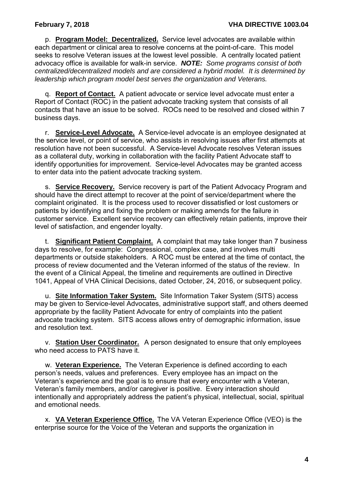p. **Program Model: Decentralized.** Service level advocates are available within each department or clinical area to resolve concerns at the point-of-care. This model seeks to resolve Veteran issues at the lowest level possible. A centrally located patient advocacy office is available for walk-in service. *NOTE: Some programs consist of both centralized/decentralized models and are considered a hybrid model. It is determined by leadership which program model best serves the organization and Veterans.*

q. **Report of Contact.** A patient advocate or service level advocate must enter a Report of Contact (ROC) in the patient advocate tracking system that consists of all contacts that have an issue to be solved. ROCs need to be resolved and closed within 7 business days.

r. **Service-Level Advocate.** A Service-level advocate is an employee designated at the service level, or point of service, who assists in resolving issues after first attempts at resolution have not been successful. A Service-level Advocate resolves Veteran issues as a collateral duty, working in collaboration with the facility Patient Advocate staff to identify opportunities for improvement. Service-level Advocates may be granted access to enter data into the patient advocate tracking system.

s. **Service Recovery.** Service recovery is part of the Patient Advocacy Program and should have the direct attempt to recover at the point of service/department where the complaint originated. It is the process used to recover dissatisfied or lost customers or patients by identifying and fixing the problem or making amends for the failure in customer service. Excellent service recovery can effectively retain patients, improve their level of satisfaction, and engender loyalty.

t. **Significant Patient Complaint.** A complaint that may take longer than 7 business days to resolve, for example: Congressional, complex case, and involves multi departments or outside stakeholders. A ROC must be entered at the time of contact, the process of review documented and the Veteran informed of the status of the review. In the event of a Clinical Appeal, the timeline and requirements are outlined in Directive 1041, Appeal of VHA Clinical Decisions, dated October, 24, 2016, or subsequent policy.

u. **Site Information Taker System.** Site Information Taker System (SITS) access may be given to Service-level Advocates, administrative support staff, and others deemed appropriate by the facility Patient Advocate for entry of complaints into the patient advocate tracking system. SITS access allows entry of demographic information, issue and resolution text.

v. **Station User Coordinator.** A person designated to ensure that only employees who need access to PATS have it.

w. **Veteran Experience.** The Veteran Experience is defined according to each person's needs, values and preferences. Every employee has an impact on the Veteran's experience and the goal is to ensure that every encounter with a Veteran, Veteran's family members, and/or caregiver is positive. Every interaction should intentionally and appropriately address the patient's physical, intellectual, social, spiritual and emotional needs.

x. **VA Veteran Experience Office.** The VA Veteran Experience Office (VEO) is the enterprise source for the Voice of the Veteran and supports the organization in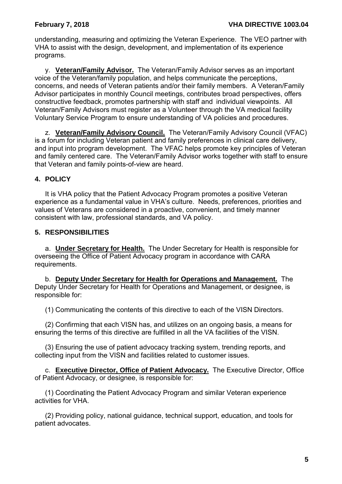understanding, measuring and optimizing the Veteran Experience. The VEO partner with VHA to assist with the design, development, and implementation of its experience programs.

y. **Veteran/Family Advisor.** The Veteran/Family Advisor serves as an important voice of the Veteran/family population, and helps communicate the perceptions, concerns, and needs of Veteran patients and/or their family members. A Veteran/Family Advisor participates in monthly Council meetings, contributes broad perspectives, offers constructive feedback, promotes partnership with staff and individual viewpoints. All Veteran/Family Advisors must register as a Volunteer through the VA medical facility Voluntary Service Program to ensure understanding of VA policies and procedures.

z. **Veteran/Family Advisory Council.** The Veteran/Family Advisory Council (VFAC) is a forum for including Veteran patient and family preferences in clinical care delivery, and input into program development. The VFAC helps promote key principles of Veteran and family centered care. The Veteran/Family Advisor works together with staff to ensure that Veteran and family points-of-view are heard.

# <span id="page-6-0"></span>**4. POLICY**

It is VHA policy that the Patient Advocacy Program promotes a positive Veteran experience as a fundamental value in VHA's culture. Needs, preferences, priorities and values of Veterans are considered in a proactive, convenient, and timely manner consistent with law, professional standards, and VA policy.

# <span id="page-6-1"></span>**5. RESPONSIBILITIES**

a. **Under Secretary for Health.** The Under Secretary for Health is responsible for overseeing the Office of Patient Advocacy program in accordance with CARA requirements.

b. **Deputy Under Secretary for Health for Operations and Management.** The Deputy Under Secretary for Health for Operations and Management, or designee, is responsible for:

(1) Communicating the contents of this directive to each of the VISN Directors.

(2) Confirming that each VISN has, and utilizes on an ongoing basis, a means for ensuring the terms of this directive are fulfilled in all the VA facilities of the VISN.

(3) Ensuring the use of patient advocacy tracking system, trending reports, and collecting input from the VISN and facilities related to customer issues.

c. **Executive Director, Office of Patient Advocacy.** The Executive Director, Office of Patient Advocacy, or designee, is responsible for:

(1) Coordinating the Patient Advocacy Program and similar Veteran experience activities for VHA.

(2) Providing policy, national guidance, technical support, education, and tools for patient advocates.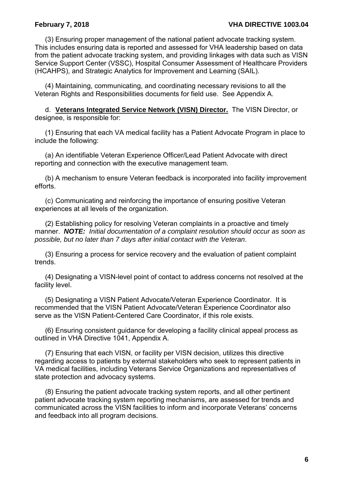(3) Ensuring proper management of the national patient advocate tracking system. This includes ensuring data is reported and assessed for VHA leadership based on data from the patient advocate tracking system, and providing linkages with data such as VISN Service Support Center (VSSC), Hospital Consumer Assessment of Healthcare Providers (HCAHPS), and Strategic Analytics for Improvement and Learning (SAIL).

(4) Maintaining, communicating, and coordinating necessary revisions to all the Veteran Rights and Responsibilities documents for field use. See Appendix A.

d. **Veterans Integrated Service Network (VISN) Director.** The VISN Director, or designee, is responsible for:

(1) Ensuring that each VA medical facility has a Patient Advocate Program in place to include the following:

(a) An identifiable Veteran Experience Officer/Lead Patient Advocate with direct reporting and connection with the executive management team.

(b) A mechanism to ensure Veteran feedback is incorporated into facility improvement efforts.

(c) Communicating and reinforcing the importance of ensuring positive Veteran experiences at all levels of the organization.

(2) Establishing policy for resolving Veteran complaints in a proactive and timely manner. *NOTE: Initial documentation of a complaint resolution should occur as soon as possible, but no later than 7 days after initial contact with the Veteran*.

(3) Ensuring a process for service recovery and the evaluation of patient complaint trends.

(4) Designating a VISN-level point of contact to address concerns not resolved at the facility level.

(5) Designating a VISN Patient Advocate/Veteran Experience Coordinator. It is recommended that the VISN Patient Advocate/Veteran Experience Coordinator also serve as the VISN Patient-Centered Care Coordinator, if this role exists.

(6) Ensuring consistent guidance for developing a facility clinical appeal process as outlined in VHA Directive 1041, Appendix A.

(7) Ensuring that each VISN, or facility per VISN decision, utilizes this directive regarding access to patients by external stakeholders who seek to represent patients in VA medical facilities, including Veterans Service Organizations and representatives of state protection and advocacy systems.

(8) Ensuring the patient advocate tracking system reports, and all other pertinent patient advocate tracking system reporting mechanisms, are assessed for trends and communicated across the VISN facilities to inform and incorporate Veterans' concerns and feedback into all program decisions.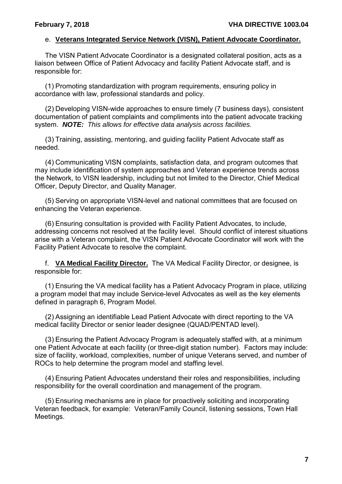#### e. **Veterans Integrated Service Network (VISN), Patient Advocate Coordinator.**

The VISN Patient Advocate Coordinator is a designated collateral position, acts as a liaison between Office of Patient Advocacy and facility Patient Advocate staff, and is responsible for:

(1) Promoting standardization with program requirements, ensuring policy in accordance with law, professional standards and policy.

(2) Developing VISN-wide approaches to ensure timely (7 business days), consistent documentation of patient complaints and compliments into the patient advocate tracking system. *NOTE: This allows for effective data analysis across facilities.* 

(3) Training, assisting, mentoring, and guiding facility Patient Advocate staff as needed.

(4) Communicating VISN complaints, satisfaction data, and program outcomes that may include identification of system approaches and Veteran experience trends across the Network, to VISN leadership, including but not limited to the Director, Chief Medical Officer, Deputy Director, and Quality Manager.

(5) Serving on appropriate VISN-level and national committees that are focused on enhancing the Veteran experience.

(6) Ensuring consultation is provided with Facility Patient Advocates, to include, addressing concerns not resolved at the facility level. Should conflict of interest situations arise with a Veteran complaint, the VISN Patient Advocate Coordinator will work with the Facility Patient Advocate to resolve the complaint.

f. **VA Medical Facility Director.** The VA Medical Facility Director, or designee, is responsible for:

(1) Ensuring the VA medical facility has a Patient Advocacy Program in place, utilizing a program model that may include Service-level Advocates as well as the key elements defined in paragraph 6, Program Model.

(2) Assigning an identifiable Lead Patient Advocate with direct reporting to the VA medical facility Director or senior leader designee (QUAD/PENTAD level).

(3) Ensuring the Patient Advocacy Program is adequately staffed with, at a minimum one Patient Advocate at each facility (or three-digit station number). Factors may include: size of facility, workload, complexities, number of unique Veterans served, and number of ROCs to help determine the program model and staffing level.

(4) Ensuring Patient Advocates understand their roles and responsibilities, including responsibility for the overall coordination and management of the program.

(5) Ensuring mechanisms are in place for proactively soliciting and incorporating Veteran feedback, for example: Veteran/Family Council, listening sessions, Town Hall Meetings.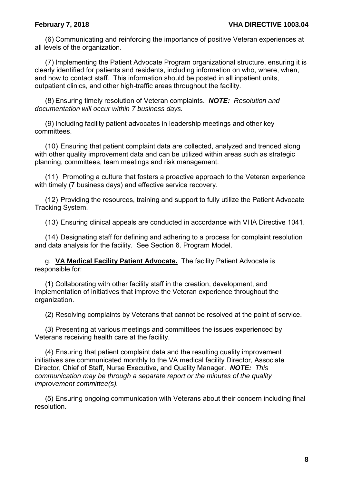(6) Communicating and reinforcing the importance of positive Veteran experiences at all levels of the organization.

(7) Implementing the Patient Advocate Program organizational structure, ensuring it is clearly identified for patients and residents, including information on who, where, when, and how to contact staff. This information should be posted in all inpatient units, outpatient clinics, and other high-traffic areas throughout the facility.

(8) Ensuring timely resolution of Veteran complaints. *NOTE: Resolution and documentation will occur within 7 business days.*

(9) Including facility patient advocates in leadership meetings and other key committees.

(10) Ensuring that patient complaint data are collected, analyzed and trended along with other quality improvement data and can be utilized within areas such as strategic planning, committees, team meetings and risk management.

(11) Promoting a culture that fosters a proactive approach to the Veteran experience with timely (7 business days) and effective service recovery.

(12) Providing the resources, training and support to fully utilize the Patient Advocate Tracking System.

(13) Ensuring clinical appeals are conducted in accordance with VHA Directive 1041.

(14) Designating staff for defining and adhering to a process for complaint resolution and data analysis for the facility. See Section 6. Program Model.

g. **VA Medical Facility Patient Advocate.** The facility Patient Advocate is responsible for:

(1) Collaborating with other facility staff in the creation, development, and implementation of initiatives that improve the Veteran experience throughout the organization.

(2) Resolving complaints by Veterans that cannot be resolved at the point of service.

(3) Presenting at various meetings and committees the issues experienced by Veterans receiving health care at the facility.

(4) Ensuring that patient complaint data and the resulting quality improvement initiatives are communicated monthly to the VA medical facility Director, Associate Director, Chief of Staff, Nurse Executive, and Quality Manager. *NOTE: This communication may be through a separate report or the minutes of the quality improvement committee(s).*

(5) Ensuring ongoing communication with Veterans about their concern including final resolution.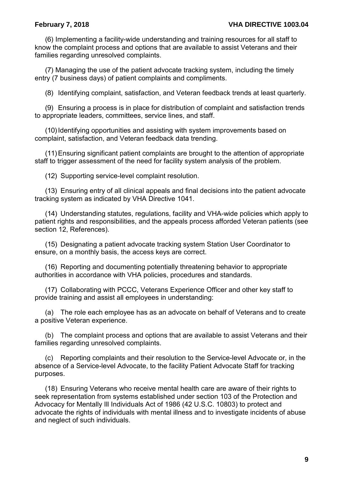(6) Implementing a facility-wide understanding and training resources for all staff to know the complaint process and options that are available to assist Veterans and their families regarding unresolved complaints.

(7) Managing the use of the patient advocate tracking system, including the timely entry (7 business days) of patient complaints and compliments.

(8) Identifying complaint, satisfaction, and Veteran feedback trends at least quarterly.

(9) Ensuring a process is in place for distribution of complaint and satisfaction trends to appropriate leaders, committees, service lines, and staff.

(10) Identifying opportunities and assisting with system improvements based on complaint, satisfaction, and Veteran feedback data trending.

(11)Ensuring significant patient complaints are brought to the attention of appropriate staff to trigger assessment of the need for facility system analysis of the problem.

(12) Supporting service-level complaint resolution.

(13) Ensuring entry of all clinical appeals and final decisions into the patient advocate tracking system as indicated by VHA Directive 1041.

(14) Understanding statutes, regulations, facility and VHA-wide policies which apply to patient rights and responsibilities, and the appeals process afforded Veteran patients (see section 12, References).

(15) Designating a patient advocate tracking system Station User Coordinator to ensure, on a monthly basis, the access keys are correct.

(16) Reporting and documenting potentially threatening behavior to appropriate authorities in accordance with VHA policies, procedures and standards.

(17) Collaborating with PCCC, Veterans Experience Officer and other key staff to provide training and assist all employees in understanding:

(a) The role each employee has as an advocate on behalf of Veterans and to create a positive Veteran experience.

(b) The complaint process and options that are available to assist Veterans and their families regarding unresolved complaints.

(c) Reporting complaints and their resolution to the Service-level Advocate or, in the absence of a Service-level Advocate, to the facility Patient Advocate Staff for tracking purposes.

(18) Ensuring Veterans who receive mental health care are aware of their rights to seek representation from systems established under section 103 of the Protection and Advocacy for Mentally Ill Individuals Act of 1986 (42 U.S.C. 10803) to protect and advocate the rights of individuals with mental illness and to investigate incidents of abuse and neglect of such individuals.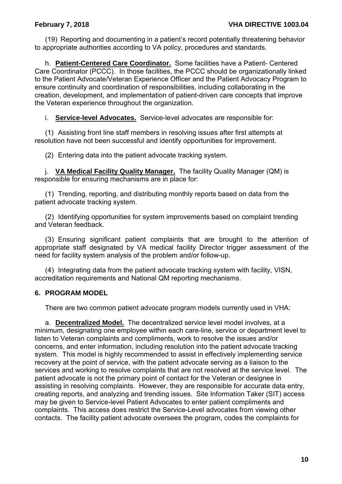(19) Reporting and documenting in a patient's record potentially threatening behavior to appropriate authorities according to VA policy, procedures and standards.

h. **Patient-Centered Care Coordinator.** Some facilities have a Patient- Centered Care Coordinator (PCCC). In those facilities, the PCCC should be organizationally linked to the Patient Advocate/Veteran Experience Officer and the Patient Advocacy Program to ensure continuity and coordination of responsibilities, including collaborating in the creation, development, and implementation of patient-driven care concepts that improve the Veteran experience throughout the organization.

i. **Service-level Advocates.** Service-level advocates are responsible for:

(1) Assisting front line staff members in resolving issues after first attempts at resolution have not been successful and identify opportunities for improvement.

(2) Entering data into the patient advocate tracking system.

j. **VA Medical Facility Quality Manager.** The facility Quality Manager (QM) is responsible for ensuring mechanisms are in place for:

(1) Trending, reporting, and distributing monthly reports based on data from the patient advocate tracking system.

(2) Identifying opportunities for system improvements based on complaint trending and Veteran feedback.

(3) Ensuring significant patient complaints that are brought to the attention of appropriate staff designated by VA medical facility Director trigger assessment of the need for facility system analysis of the problem and/or follow-up.

(4) Integrating data from the patient advocate tracking system with facility, VISN, accreditation requirements and National QM reporting mechanisms.

### <span id="page-11-0"></span>**6. PROGRAM MODEL**

There are two common patient advocate program models currently used in VHA:

a. **Decentralized Model.** The decentralized service level model involves, at a minimum, designating one employee within each care-line, service or department level to listen to Veteran complaints and compliments, work to resolve the issues and/or concerns, and enter information, including resolution into the patient advocate tracking system. This model is highly recommended to assist in effectively implementing service recovery at the point of service, with the patient advocate serving as a liaison to the services and working to resolve complaints that are not resolved at the service level. The patient advocate is not the primary point of contact for the Veteran or designee in assisting in resolving complaints. However, they are responsible for accurate data entry, creating reports, and analyzing and trending issues. Site Information Taker (SIT) access may be given to Service-level Patient Advocates to enter patient compliments and complaints. This access does restrict the Service-Level advocates from viewing other contacts. The facility patient advocate oversees the program, codes the complaints for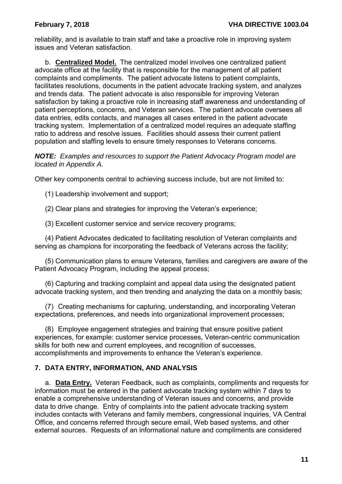reliability, and is available to train staff and take a proactive role in improving system issues and Veteran satisfaction.

b. **Centralized Model.** The centralized model involves one centralized patient advocate office at the facility that is responsible for the management of all patient complaints and compliments. The patient advocate listens to patient complaints, facilitates resolutions, documents in the patient advocate tracking system, and analyzes and trends data. The patient advocate is also responsible for improving Veteran satisfaction by taking a proactive role in increasing staff awareness and understanding of patient perceptions, concerns, and Veteran services. The patient advocate oversees all data entries, edits contacts, and manages all cases entered in the patient advocate tracking system. Implementation of a centralized model requires an adequate staffing ratio to address and resolve issues. Facilities should assess their current patient population and staffing levels to ensure timely responses to Veterans concerns.

*NOTE: Examples and resources to support the Patient Advocacy Program model are located in Appendix A.*

Other key components central to achieving success include, but are not limited to:

(1) Leadership involvement and support;

(2) Clear plans and strategies for improving the Veteran's experience;

(3) Excellent customer service and service recovery programs;

(4) Patient Advocates dedicated to facilitating resolution of Veteran complaints and serving as champions for incorporating the feedback of Veterans across the facility;

(5) Communication plans to ensure Veterans, families and caregivers are aware of the Patient Advocacy Program, including the appeal process;

(6) Capturing and tracking complaint and appeal data using the designated patient advocate tracking system, and then trending and analyzing the data on a monthly basis;

(7) Creating mechanisms for capturing, understanding, and incorporating Veteran expectations, preferences, and needs into organizational improvement processes;

(8) Employee engagement strategies and training that ensure positive patient experiences, for example: customer service processes, Veteran-centric communication skills for both new and current employees, and recognition of successes, accomplishments and improvements to enhance the Veteran's experience.

# <span id="page-12-0"></span>**7. DATA ENTRY, INFORMATION, AND ANALYSIS**

a. **Data Entry.** Veteran Feedback, such as complaints, compliments and requests for information must be entered in the patient advocate tracking system within 7 days to enable a comprehensive understanding of Veteran issues and concerns, and provide data to drive change. Entry of complaints into the patient advocate tracking system includes contacts with Veterans and family members, congressional inquiries, VA Central Office, and concerns referred through secure email, Web based systems, and other external sources. Requests of an informational nature and compliments are considered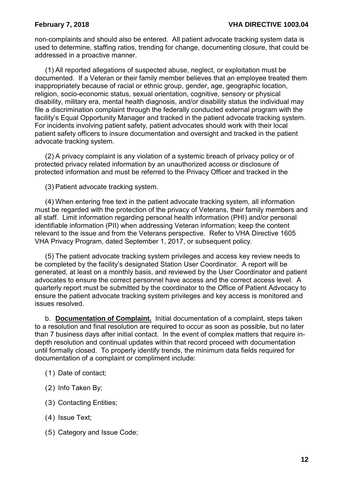non-complaints and should also be entered. All patient advocate tracking system data is used to determine, staffing ratios, trending for change, documenting closure, that could be addressed in a proactive manner.

(1) All reported allegations of suspected abuse, neglect, or exploitation must be documented. If a Veteran or their family member believes that an employee treated them inappropriately because of racial or ethnic group, gender, age, geographic location, religion, socio-economic status, sexual orientation, cognitive, sensory or physical disability, military era, mental health diagnosis, and/or disability status the individual may file a discrimination complaint through the federally conducted external program with the facility's Equal Opportunity Manager and tracked in the patient advocate tracking system. For incidents involving patient safety, patient advocates should work with their local patient safety officers to insure documentation and oversight and tracked in the patient advocate tracking system.

(2) A privacy complaint is any violation of a systemic breach of privacy policy or of protected privacy related information by an unauthorized access or disclosure of protected information and must be referred to the Privacy Officer and tracked in the

(3) Patient advocate tracking system.

(4) When entering free text in the patient advocate tracking system, all information must be regarded with the protection of the privacy of Veterans, their family members and all staff. Limit information regarding personal health information (PHI) and/or personal identifiable information (PII) when addressing Veteran information; keep the content relevant to the issue and from the Veterans perspective. Refer to VHA Directive 1605 VHA Privacy Program, dated September 1, 2017, or subsequent policy.

(5) The patient advocate tracking system privileges and access key review needs to be completed by the facility's designated Station User Coordinator. A report will be generated, at least on a monthly basis, and reviewed by the User Coordinator and patient advocates to ensure the correct personnel have access and the correct access level. A quarterly report must be submitted by the coordinator to the Office of Patient Advocacy to ensure the patient advocate tracking system privileges and key access is monitored and issues resolved.

b. **Documentation of Complaint.** Initial documentation of a complaint, steps taken to a resolution and final resolution are required to occur as soon as possible, but no later than 7 business days after initial contact. In the event of complex matters that require indepth resolution and continual updates within that record proceed with documentation until formally closed. To properly identify trends, the minimum data fields required for documentation of a complaint or compliment include:

- (1) Date of contact;
- (2) Info Taken By;
- (3) Contacting Entities;
- (4) Issue Text;
- (5) Category and Issue Code;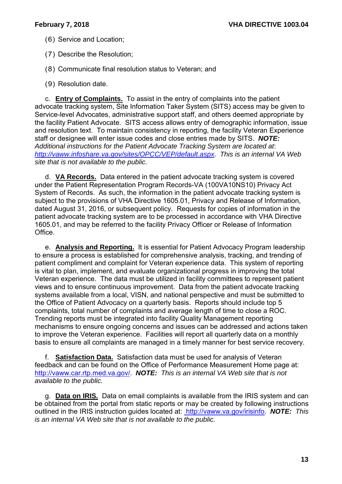- (6) Service and Location;
- (7) Describe the Resolution;
- (8) Communicate final resolution status to Veteran; and
- (9) Resolution date.

c. **Entry of Complaints.** To assist in the entry of complaints into the patient advocate tracking system, Site Information Taker System (SITS) access may be given to Service-level Advocates, administrative support staff, and others deemed appropriate by the facility Patient Advocate. SITS access allows entry of demographic information, issue and resolution text. To maintain consistency in reporting, the facility Veteran Experience staff or designee will enter issue codes and close entries made by SITS. *NOTE: Additional instructions for the Patient Advocate Tracking System are located at*: *<http://vaww.infoshare.va.gov/sites/OPCC/VEP/default.aspx>*. *This is an internal VA Web site that is not available to the public.*

d. **VA Records.** Data entered in the patient advocate tracking system is covered under the Patient Representation Program Records-VA (100VA10NS10) Privacy Act System of Records. As such, the information in the patient advocate tracking system is subject to the provisions of VHA Directive 1605.01, Privacy and Release of Information, dated August 31, 2016, or subsequent policy. Requests for copies of information in the patient advocate tracking system are to be processed in accordance with VHA Directive 1605.01, and may be referred to the facility Privacy Officer or Release of Information Office.

e. **Analysis and Reporting.** It is essential for Patient Advocacy Program leadership to ensure a process is established for comprehensive analysis, tracking, and trending of patient compliment and complaint for Veteran experience data. This system of reporting is vital to plan, implement, and evaluate organizational progress in improving the total Veteran experience. The data must be utilized in facility committees to represent patient views and to ensure continuous improvement. Data from the patient advocate tracking systems available from a local, VISN, and national perspective and must be submitted to the Office of Patient Advocacy on a quarterly basis. Reports should include top 5 complaints, total number of complaints and average length of time to close a ROC. Trending reports must be integrated into facility Quality Management reporting mechanisms to ensure ongoing concerns and issues can be addressed and actions taken to improve the Veteran experience. Facilities will report all quarterly data on a monthly basis to ensure all complaints are managed in a timely manner for best service recovery.

f. **Satisfaction Data.** Satisfaction data must be used for analysis of Veteran feedback and can be found on the Office of Performance Measurement Home page at: [http://vaww.car.rtp.med.va.gov/.](http://vaww.car.rtp.med.va.gov/) *NOTE: This is an internal VA Web site that is not available to the public.*

g. **Data on IRIS.** Data on email complaints is available from the IRIS system and can be obtained from the portal from static reports or may be created by following instructions outlined in the IRIS instruction guides located at: [http://vaww.va.gov/irisinfo.](http://vaww.va.gov/irisinfo) *NOTE: This is an internal VA Web site that is not available to the public.*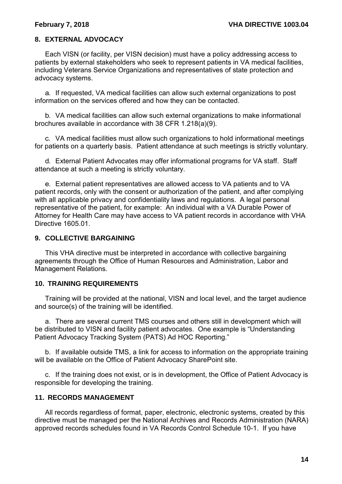## <span id="page-15-0"></span>**8. EXTERNAL ADVOCACY**

Each VISN (or facility, per VISN decision) must have a policy addressing access to patients by external stakeholders who seek to represent patients in VA medical facilities, including Veterans Service Organizations and representatives of state protection and advocacy systems.

a. If requested, VA medical facilities can allow such external organizations to post information on the services offered and how they can be contacted.

b. VA medical facilities can allow such external organizations to make informational brochures available in accordance with 38 CFR 1.218(a)(9).

c. VA medical facilities must allow such organizations to hold informational meetings for patients on a quarterly basis. Patient attendance at such meetings is strictly voluntary.

d. External Patient Advocates may offer informational programs for VA staff. Staff attendance at such a meeting is strictly voluntary.

e. External patient representatives are allowed access to VA patients and to VA patient records, only with the consent or authorization of the patient, and after complying with all applicable privacy and confidentiality laws and regulations. A legal personal representative of the patient, for example: An individual with a VA Durable Power of Attorney for Health Care may have access to VA patient records in accordance with VHA Directive 1605.01.

#### <span id="page-15-1"></span>**9. COLLECTIVE BARGAINING**

This VHA directive must be interpreted in accordance with collective bargaining agreements through the Office of Human Resources and Administration, Labor and Management Relations.

### <span id="page-15-2"></span>**10. TRAINING REQUIREMENTS**

Training will be provided at the national, VISN and local level, and the target audience and source(s) of the training will be identified.

a. There are several current TMS courses and others still in development which will be distributed to VISN and facility patient advocates. One example is "Understanding Patient Advocacy Tracking System (PATS) Ad HOC Reporting."

b. If available outside TMS, a link for access to information on the appropriate training will be available on the Office of Patient Advocacy SharePoint site.

c. If the training does not exist, or is in development, the Office of Patient Advocacy is responsible for developing the training.

#### <span id="page-15-3"></span>**11. RECORDS MANAGEMENT**

All records regardless of format, paper, electronic, electronic systems, created by this directive must be managed per the National Archives and Records Administration (NARA) approved records schedules found in VA Records Control Schedule 10-1. If you have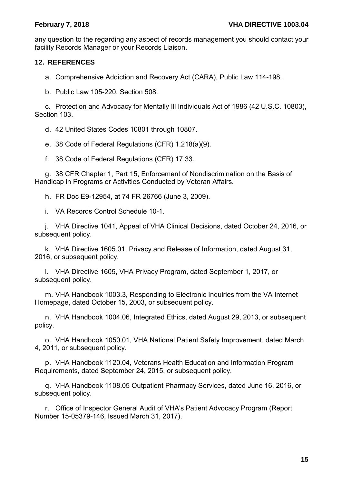any question to the regarding any aspect of records management you should contact your facility Records Manager or your Records Liaison.

# <span id="page-16-0"></span>**12. REFERENCES**

a. Comprehensive Addiction and Recovery Act (CARA), Public Law 114-198.

b. Public Law 105-220, Section 508.

c. Protection and Advocacy for Mentally Ill Individuals Act of 1986 (42 U.S.C. 10803), Section 103.

d. 42 United States Codes 10801 through 10807.

e. 38 Code of Federal Regulations (CFR) 1.218(a)(9).

f. 38 Code of Federal Regulations (CFR) 17.33.

g. 38 CFR Chapter 1, Part 15, Enforcement of Nondiscrimination on the Basis of Handicap in Programs or Activities Conducted by Veteran Affairs.

h. FR Doc E9-12954, at 74 FR 26766 (June 3, 2009).

i. VA Records Control Schedule 10-1.

j. VHA Directive 1041, Appeal of VHA Clinical Decisions, dated October 24, 2016, or subsequent policy.

k. VHA Directive 1605.01, Privacy and Release of Information, dated August 31, 2016, or subsequent policy.

l. VHA Directive 1605, VHA Privacy Program, dated September 1, 2017, or subsequent policy.

m. VHA Handbook 1003.3, Responding to Electronic Inquiries from the VA Internet Homepage, dated October 15, 2003, or subsequent policy.

n. VHA Handbook 1004.06, Integrated Ethics, dated August 29, 2013, or subsequent policy.

o. VHA Handbook 1050.01, VHA National Patient Safety Improvement, dated March 4, 2011, or subsequent policy.

p. VHA Handbook 1120.04, Veterans Health Education and Information Program Requirements, dated September 24, 2015, or subsequent policy.

q. VHA Handbook 1108.05 Outpatient Pharmacy Services, dated June 16, 2016, or subsequent policy.

r. Office of Inspector General Audit of VHA's Patient Advocacy Program (Report Number 15-05379-146, Issued March 31, 2017).